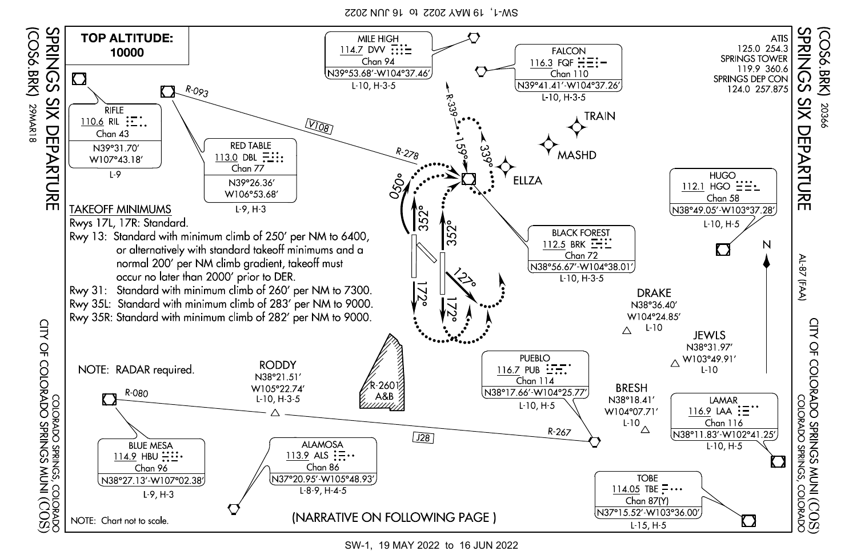SW-1, 19 MAY 2022 to 16 JUN 2022



SW-1, 19 MAY 2022 to 16 JUN 2022